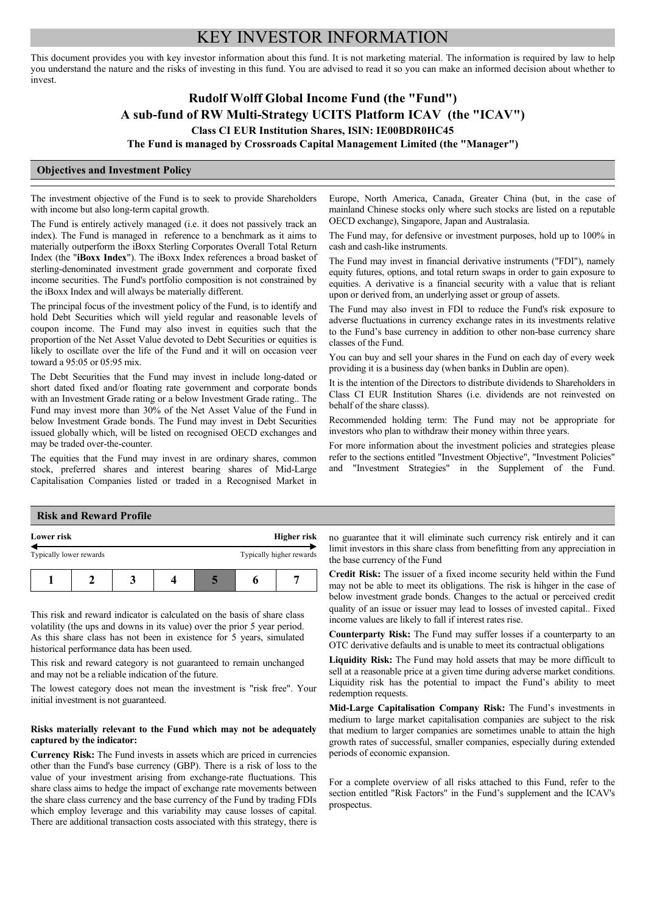# KEY INVESTOR INFORMATION

This document provides you with key investor information about this fund. It is not marketing material. The information is required by law to help you understand the nature and the risks of investing in this fund. You are advised to read it so you can make an informed decision about whether to invest.

# **Rudolf Wolff Global Income Fund (the "Fund") A sub-fund of RW Multi-Strategy UCITS Platform ICAV (the "ICAV") Class CI EUR Institution Shares, ISIN: IE00BDR0HC45**

**The Fund is managed by Crossroads Capital Management Limited (the "Manager")**

## **Objectives and Investment Policy**

The investment objective of the Fund is to seek to provide Shareholders with income but also long-term capital growth.

The Fund is entirely actively managed (i.e. it does not passively track an index). The Fund is managed in reference to a benchmark as it aims to materially outperform the iBoxx Sterling Corporates Overall Total Return Index (the "**iBoxx Index**"). The iBoxx Index references a broad basket of sterling-denominated investment grade government and corporate fixed income securities. The Fund's portfolio composition is not constrained by the iBoxx Index and will always be materially different.

The principal focus of the investment policy of the Fund, is to identify and hold Debt Securities which will yield regular and reasonable levels of coupon income. The Fund may also invest in equities such that the proportion of the Net Asset Value devoted to Debt Securities or equities is likely to oscillate over the life of the Fund and it will on occasion veer toward a 95:05 or 05:95 mix.

The Debt Securities that the Fund may invest in include long-dated or short dated fixed and/or floating rate government and corporate bonds with an Investment Grade rating or a below Investment Grade rating.. The Fund may invest more than 30% of the Net Asset Value of the Fund in below Investment Grade bonds. The Fund may invest in Debt Securities issued globally which, will be listed on recognised OECD exchanges and may be traded over-the-counter.

The equities that the Fund may invest in are ordinary shares, common stock, preferred shares and interest bearing shares of Mid-Large Capitalisation Companies listed or traded in a Recognised Market in Europe, North America, Canada, Greater China (but, in the case of mainland Chinese stocks only where such stocks are listed on a reputable OECD exchange), Singapore, Japan and Australasia.

The Fund may, for defensive or investment purposes, hold up to 100% in cash and cash-like instruments.

The Fund may invest in financial derivative instruments ("FDI"), namely equity futures, options, and total return swaps in order to gain exposure to equities. A derivative is a financial security with a value that is reliant upon or derived from, an underlying asset or group of assets.

The Fund may also invest in FDI to reduce the Fund's risk exposure to adverse fluctuations in currency exchange rates in its investments relative to the Fund's base currency in addition to other non-base currency share classes of the Fund.

You can buy and sell your shares in the Fund on each day of every week providing it is a business day (when banks in Dublin are open).

It is the intention of the Directors to distribute dividends to Shareholders in Class CI EUR Institution Shares (i.e. dividends are not reinvested on behalf of the share classs).

Recommended holding term: The Fund may not be appropriate for investors who plan to withdraw their money within three years.

For more information about the investment policies and strategies please refer to the sections entitled "Investment Objective", "Investment Policies" and "Investment Strategies" in the Supplement of the Fund.

## **Risk and Reward Profile**

| Lower risk              |  | Higher risk |  |                          |
|-------------------------|--|-------------|--|--------------------------|
| Typically lower rewards |  |             |  | Typically higher rewards |
|                         |  |             |  |                          |

This risk and reward indicator is calculated on the basis of share class volatility (the ups and downs in its value) over the prior 5 year period. As this share class has not been in existence for 5 years, simulated historical performance data has been used.

This risk and reward category is not guaranteed to remain unchanged and may not be a reliable indication of the future.

The lowest category does not mean the investment is "risk free". Your initial investment is not guaranteed.

#### **Risks materially relevant to the Fund which may not be adequately captured by the indicator:**

**Currency Risk:** The Fund invests in assets which are priced in currencies other than the Fund's base currency (GBP). There is a risk of loss to the value of your investment arising from exchange-rate fluctuations. This share class aims to hedge the impact of exchange rate movements between the share class currency and the base currency of the Fund by trading FDIs which employ leverage and this variability may cause losses of capital. There are additional transaction costs associated with this strategy, there is

no guarantee that it will eliminate such currency risk entirely and it can limit investors in this share class from benefitting from any appreciation in the base currency of the Fund

**Credit Risk:** The issuer of a fixed income security held within the Fund may not be able to meet its obligations. The risk is hihger in the case of below investment grade bonds. Changes to the actual or perceived credit quality of an issue or issuer may lead to losses of invested capital.. Fixed income values are likely to fall if interest rates rise.

**Counterparty Risk:** The Fund may suffer losses if a counterparty to an OTC derivative defaults and is unable to meet its contractual obligations

**Liquidity Risk:** The Fund may hold assets that may be more difficult to sell at a reasonable price at a given time during adverse market conditions. Liquidity risk has the potential to impact the Fund's ability to meet redemption requests.

**Mid-Large Capitalisation Company Risk:** The Fund's investments in medium to large market capitalisation companies are subject to the risk that medium to larger companies are sometimes unable to attain the high growth rates of successful, smaller companies, especially during extended periods of economic expansion.

For a complete overview of all risks attached to this Fund, refer to the section entitled "Risk Factors" in the Fund's supplement and the ICAV's prospectus.